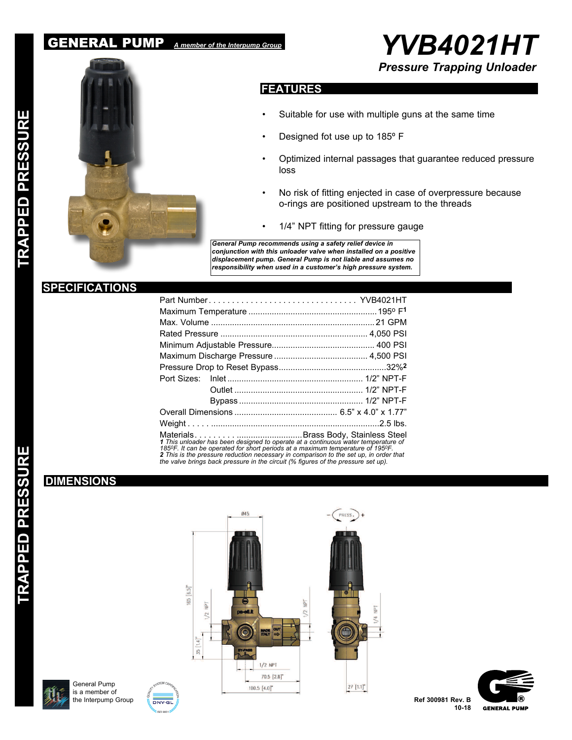## GENERAL PUMP *A member of the Interpump Group*





## **FEATURES**

- Suitable for use with multiple guns at the same time
- Designed fot use up to 185º F
- Optimized internal passages that guarantee reduced pressure loss
- No risk of fitting enjected in case of overpressure because o-rings are positioned upstream to the threads
- 1/4" NPT fitting for pressure gauge

*General Pump recommends using a safety relief device in conjunction with this unloader valve when installed on a positive displacement pump. General Pump is not liable and assumes no responsibility when used in a customer's high pressure system.*

## **SPECIFICATIONS**

| Part Number YVB4021HT                                                                                                                                                                                                                                                                                                                             |  |  |  |  |
|---------------------------------------------------------------------------------------------------------------------------------------------------------------------------------------------------------------------------------------------------------------------------------------------------------------------------------------------------|--|--|--|--|
|                                                                                                                                                                                                                                                                                                                                                   |  |  |  |  |
|                                                                                                                                                                                                                                                                                                                                                   |  |  |  |  |
|                                                                                                                                                                                                                                                                                                                                                   |  |  |  |  |
|                                                                                                                                                                                                                                                                                                                                                   |  |  |  |  |
|                                                                                                                                                                                                                                                                                                                                                   |  |  |  |  |
|                                                                                                                                                                                                                                                                                                                                                   |  |  |  |  |
|                                                                                                                                                                                                                                                                                                                                                   |  |  |  |  |
|                                                                                                                                                                                                                                                                                                                                                   |  |  |  |  |
|                                                                                                                                                                                                                                                                                                                                                   |  |  |  |  |
|                                                                                                                                                                                                                                                                                                                                                   |  |  |  |  |
|                                                                                                                                                                                                                                                                                                                                                   |  |  |  |  |
| 1 This unloader has been designed to operate at a continuous water temperature of<br>1850F. It can be operated for short periods at a maximum temperature of 1950F.<br>2 This is the pressure reduction necessary in comparison to the set up, in order that<br>the valve brings back pressure in the circuit (% figures of the pressure set up). |  |  |  |  |

## **DIMENSIONS**

П

**TRAPPED PRESSU** 









**Ref 300981 Rev. B 10-18**

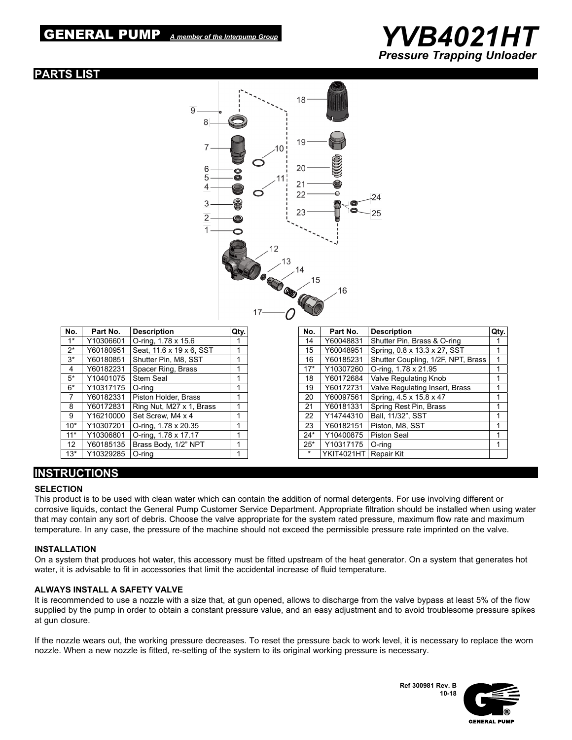# GENERAL PUMP *A member of the Interpump Group YVB4021HT*



## **PARTS LIST**



| No.             | Part No.  | <b>Description</b>       | Qty. |
|-----------------|-----------|--------------------------|------|
| $1*$            | Y10306601 | O-ring, 1.78 x 15.6      |      |
| $2^*$           | Y60180951 | Seat, 11.6 x 19 x 6, SST | 1    |
| $3*$            | Y60180851 | Shutter Pin, M8, SST     | 1    |
| 4               | Y60182231 | Spacer Ring, Brass       | 1    |
| $5*$            | Y10401075 | <b>Stem Seal</b>         | 1    |
| $6*$            | Y10317175 | O-ring                   | 1    |
| $\overline{7}$  | Y60182331 | Piston Holder, Brass     | 1    |
| 8               | Y60172831 | Ring Nut, M27 x 1, Brass | 1    |
| 9               | Y16210000 | Set Screw, M4 x 4        | 1    |
| $10*$           | Y10307201 | O-ring, 1.78 x 20.35     | 1    |
| $11*$           | Y10306801 | O-ring, 1.78 x 17.17     | 1    |
| 12 <sup>2</sup> | Y60185135 | Brass Body, 1/2" NPT     | 1    |
| $13*$           | Y10329285 | O-ring                   | 1    |

| No.     | Part No.          | <b>Description</b>                 | Qtv. |
|---------|-------------------|------------------------------------|------|
| 14      | Y60048831         | Shutter Pin, Brass & O-ring        |      |
| 15      | Y60048951         | Spring, 0.8 x 13.3 x 27, SST       | 1    |
| 16      | Y60185231         | Shutter Coupling, 1/2F, NPT, Brass | 1    |
| $17*$   | Y10307260         | O-ring, 1.78 x 21.95               | 1    |
| 18      | Y60172684         | Valve Regulating Knob              |      |
| 19      | Y60172731         | Valve Regulating Insert, Brass     | 1    |
| 20      | Y60097561         | Spring, 4.5 x 15.8 x 47            | 1    |
| 21      | Y60181331         | Spring Rest Pin, Brass             | 1    |
| 22      | Y14744310         | Ball, 11/32", SST                  | 1    |
| 23      | Y60182151         | Piston, M8, SST                    | 1    |
| $24*$   | Y10400875         | <b>Piston Seal</b>                 | 1    |
| $25*$   | Y10317175         | O-ring                             | 1    |
| $\star$ | <b>YKIT4021HT</b> | Repair Kit                         |      |

## **INSTRUCTIONS**

#### **SELECTION**

This product is to be used with clean water which can contain the addition of normal detergents. For use involving different or corrosive liquids, contact the General Pump Customer Service Department. Appropriate filtration should be installed when using water that may contain any sort of debris. Choose the valve appropriate for the system rated pressure, maximum flow rate and maximum temperature. In any case, the pressure of the machine should not exceed the permissible pressure rate imprinted on the valve.

#### **INSTALLATION**

On a system that produces hot water, this accessory must be fitted upstream of the heat generator. On a system that generates hot water, it is advisable to fit in accessories that limit the accidental increase of fluid temperature.

#### **ALWAYS INSTALL A SAFETY VALVE**

It is recommended to use a nozzle with a size that, at gun opened, allows to discharge from the valve bypass at least 5% of the flow supplied by the pump in order to obtain a constant pressure value, and an easy adjustment and to avoid troublesome pressure spikes at gun closure.

If the nozzle wears out, the working pressure decreases. To reset the pressure back to work level, it is necessary to replace the worn nozzle. When a new nozzle is fitted, re-setting of the system to its original working pressure is necessary.

> **Ref 300981 Rev. B 10-18**